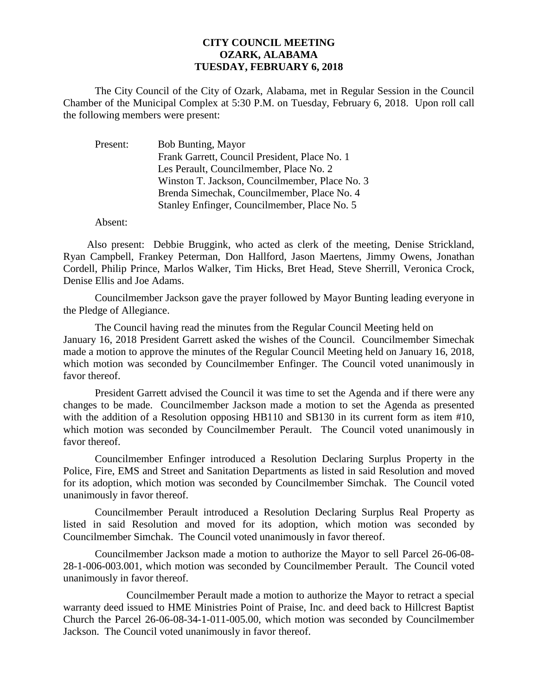## **CITY COUNCIL MEETING OZARK, ALABAMA TUESDAY, FEBRUARY 6, 2018**

The City Council of the City of Ozark, Alabama, met in Regular Session in the Council Chamber of the Municipal Complex at 5:30 P.M. on Tuesday, February 6, 2018. Upon roll call the following members were present:

| Present: | Bob Bunting, Mayor                             |
|----------|------------------------------------------------|
|          | Frank Garrett, Council President, Place No. 1  |
|          | Les Perault, Councilmember, Place No. 2        |
|          | Winston T. Jackson, Councilmember, Place No. 3 |
|          | Brenda Simechak, Councilmember, Place No. 4    |
|          | Stanley Enfinger, Councilmember, Place No. 5   |

Absent:

Also present: Debbie Bruggink, who acted as clerk of the meeting, Denise Strickland, Ryan Campbell, Frankey Peterman, Don Hallford, Jason Maertens, Jimmy Owens, Jonathan Cordell, Philip Prince, Marlos Walker, Tim Hicks, Bret Head, Steve Sherrill, Veronica Crock, Denise Ellis and Joe Adams.

Councilmember Jackson gave the prayer followed by Mayor Bunting leading everyone in the Pledge of Allegiance.

The Council having read the minutes from the Regular Council Meeting held on January 16, 2018 President Garrett asked the wishes of the Council. Councilmember Simechak made a motion to approve the minutes of the Regular Council Meeting held on January 16, 2018, which motion was seconded by Councilmember Enfinger. The Council voted unanimously in favor thereof.

President Garrett advised the Council it was time to set the Agenda and if there were any changes to be made. Councilmember Jackson made a motion to set the Agenda as presented with the addition of a Resolution opposing HB110 and SB130 in its current form as item #10, which motion was seconded by Councilmember Perault. The Council voted unanimously in favor thereof.

Councilmember Enfinger introduced a Resolution Declaring Surplus Property in the Police, Fire, EMS and Street and Sanitation Departments as listed in said Resolution and moved for its adoption, which motion was seconded by Councilmember Simchak. The Council voted unanimously in favor thereof.

Councilmember Perault introduced a Resolution Declaring Surplus Real Property as listed in said Resolution and moved for its adoption, which motion was seconded by Councilmember Simchak. The Council voted unanimously in favor thereof.

Councilmember Jackson made a motion to authorize the Mayor to sell Parcel 26-06-08- 28-1-006-003.001, which motion was seconded by Councilmember Perault. The Council voted unanimously in favor thereof.

Councilmember Perault made a motion to authorize the Mayor to retract a special warranty deed issued to HME Ministries Point of Praise, Inc. and deed back to Hillcrest Baptist Church the Parcel 26-06-08-34-1-011-005.00, which motion was seconded by Councilmember Jackson. The Council voted unanimously in favor thereof.